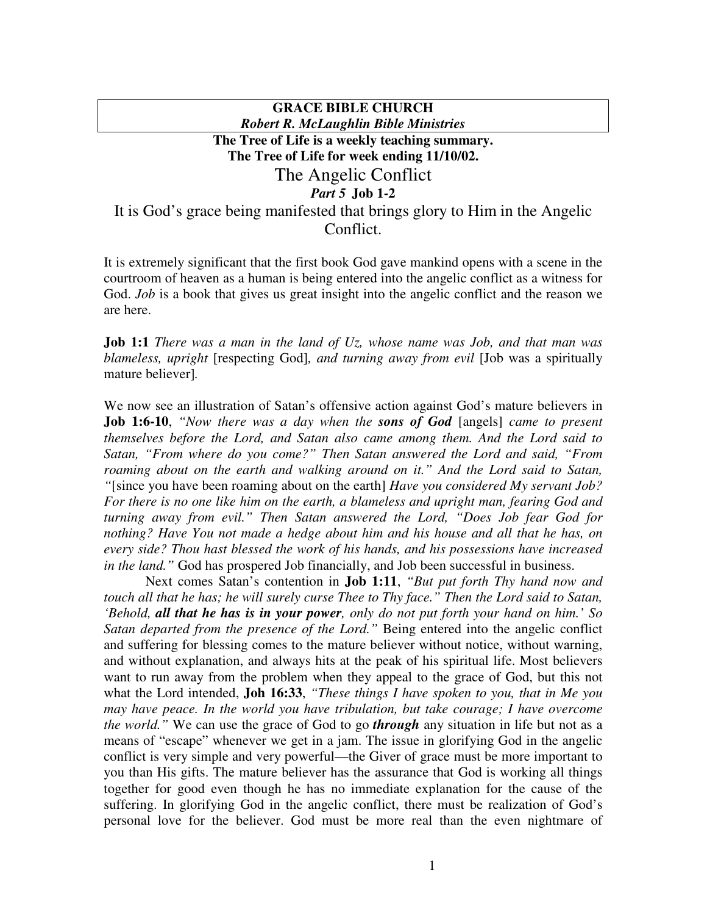## **GRACE BIBLE CHURCH** *Robert R. McLaughlin Bible Ministries* **The Tree of Life is a weekly teaching summary. The Tree of Life for week ending 11/10/02.** The Angelic Conflict *Part 5* **Job 1-2** It is God's grace being manifested that brings glory to Him in the Angelic Conflict.

It is extremely significant that the first book God gave mankind opens with a scene in the courtroom of heaven as a human is being entered into the angelic conflict as a witness for God. *Job* is a book that gives us great insight into the angelic conflict and the reason we are here.

**Job 1:1** *There was a man in the land of Uz, whose name was Job, and that man was blameless, upright* [respecting God]*, and turning away from evil* [Job was a spiritually mature believer]*.*

We now see an illustration of Satan's offensive action against God's mature believers in **Job 1:6-10**, *"Now there was a day when the sons of God* [angels] *came to present themselves before the Lord, and Satan also came among them. And the Lord said to Satan, "From where do you come?" Then Satan answered the Lord and said, "From roaming about on the earth and walking around on it." And the Lord said to Satan, "*[since you have been roaming about on the earth] *Have you considered My servant Job? For there is no one like him on the earth, a blameless and upright man, fearing God and turning away from evil." Then Satan answered the Lord, "Does Job fear God for nothing? Have You not made a hedge about him and his house and all that he has, on every side? Thou hast blessed the work of his hands, and his possessions have increased in the land."* God has prospered Job financially, and Job been successful in business.

Next comes Satan's contention in **Job 1:11**, *"But put forth Thy hand now and touch all that he has; he will surely curse Thee to Thy face." Then the Lord said to Satan,* 'Behold, all that he has is in your power, only do not put forth your hand on him.' So *Satan departed from the presence of the Lord."* Being entered into the angelic conflict and suffering for blessing comes to the mature believer without notice, without warning, and without explanation, and always hits at the peak of his spiritual life. Most believers want to run away from the problem when they appeal to the grace of God, but this not what the Lord intended, **Joh 16:33**, *"These things I have spoken to you, that in Me you may have peace. In the world you have tribulation, but take courage; I have overcome the world."* We can use the grace of God to go *through* any situation in life but not as a means of "escape" whenever we get in a jam. The issue in glorifying God in the angelic conflict is very simple and very powerful—the Giver of grace must be more important to you than His gifts. The mature believer has the assurance that God is working all things together for good even though he has no immediate explanation for the cause of the suffering. In glorifying God in the angelic conflict, there must be realization of God's personal love for the believer. God must be more real than the even nightmare of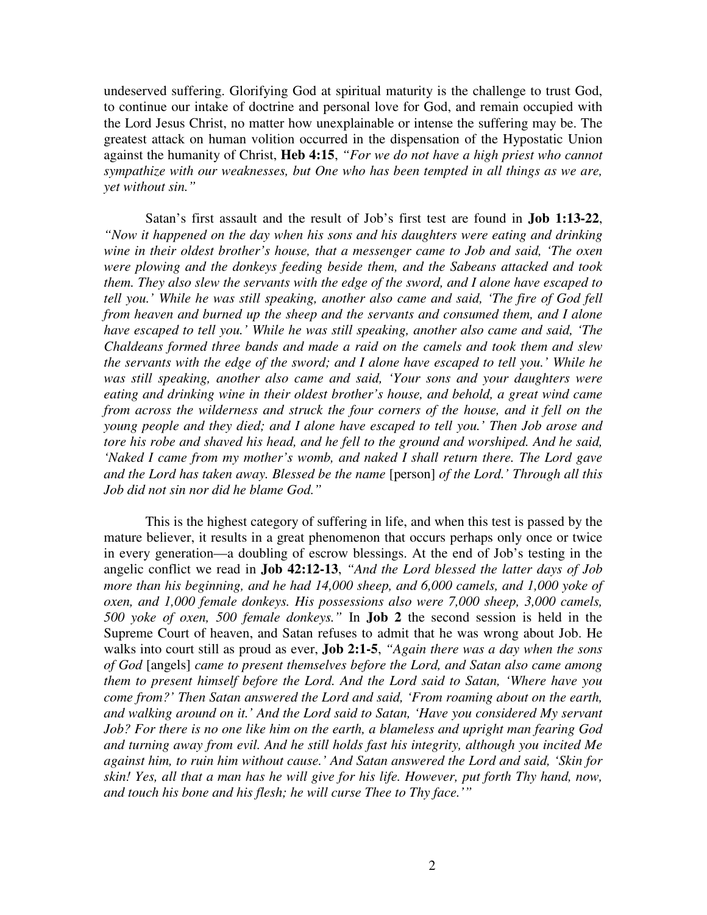undeserved suffering. Glorifying God at spiritual maturity is the challenge to trust God, to continue our intake of doctrine and personal love for God, and remain occupied with the Lord Jesus Christ, no matter how unexplainable or intense the suffering may be. The greatest attack on human volition occurred in the dispensation of the Hypostatic Union against the humanity of Christ, **Heb 4:15**, *"For we do not have a high priest who cannot sympathize with our weaknesses, but One who has been tempted in all things as we are, yet without sin."*

Satan's first assault and the result of Job's first test are found in **Job 1:13-22**, *"Now it happened on the day when his sons and his daughters were eating and drinking wine in their oldest brother's house, that a messenger came to Job and said, 'The oxen were plowing and the donkeys feeding beside them, and the Sabeans attacked and took them. They also slew the servants with the edge of the sword, and I alone have escaped to tell you.' While he was still speaking, another also came and said, 'The fire of God fell from heaven and burned up the sheep and the servants and consumed them, and I alone have escaped to tell you.' While he was still speaking, another also came and said, 'The Chaldeans formed three bands and made a raid on the camels and took them and slew the servants with the edge of the sword; and I alone have escaped to tell you.' While he was still speaking, another also came and said, 'Your sons and your daughters were eating and drinking wine in their oldest brother's house, and behold, a great wind came from across the wilderness and struck the four corners of the house, and it fell on the young people and they died; and I alone have escaped to tell you.' Then Job arose and tore his robe and shaved his head, and he fell to the ground and worshiped. And he said, 'Naked I came from my mother's womb, and naked I shall return there. The Lord gave and the Lord has taken away. Blessed be the name* [person] *of the Lord.' Through all this Job did not sin nor did he blame God."*

This is the highest category of suffering in life, and when this test is passed by the mature believer, it results in a great phenomenon that occurs perhaps only once or twice in every generation—a doubling of escrow blessings. At the end of Job's testing in the angelic conflict we read in **Job 42:12-13**, *"And the Lord blessed the latter days of Job more than his beginning, and he had 14,000 sheep, and 6,000 camels, and 1,000 yoke of oxen, and 1,000 female donkeys. His possessions also were 7,000 sheep, 3,000 camels, 500 yoke of oxen, 500 female donkeys."* In **Job 2** the second session is held in the Supreme Court of heaven, and Satan refuses to admit that he was wrong about Job. He walks into court still as proud as ever, **Job 2:1-5**, *"Again there was a day when the sons of God* [angels] *came to present themselves before the Lord, and Satan also came among them to present himself before the Lord. And the Lord said to Satan, 'Where have you come from?' Then Satan answered the Lord and said, 'From roaming about on the earth, and walking around on it.' And the Lord said to Satan, 'Have you considered My servant Job? For there is no one like him on the earth, a blameless and upright man fearing God and turning away from evil. And he still holds fast his integrity, although you incited Me against him, to ruin him without cause.' And Satan answered the Lord and said, 'Skin for skin! Yes, all that a man has he will give for his life. However, put forth Thy hand, now, and touch his bone and his flesh; he will curse Thee to Thy face.'"*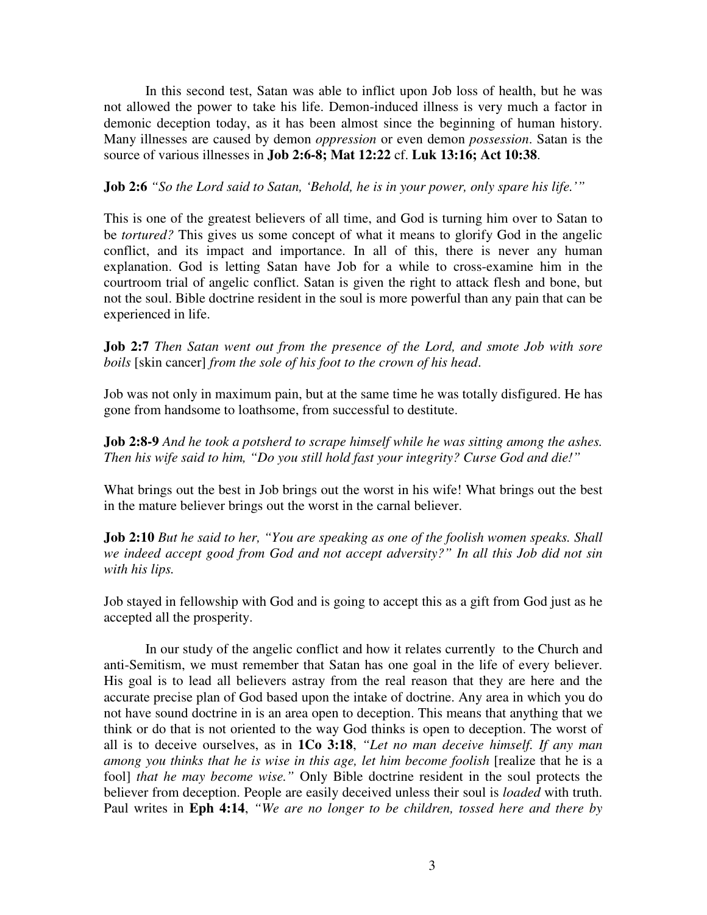In this second test, Satan was able to inflict upon Job loss of health, but he was not allowed the power to take his life. Demon-induced illness is very much a factor in demonic deception today, as it has been almost since the beginning of human history. Many illnesses are caused by demon *oppression* or even demon *possession*. Satan is the source of various illnesses in **Job 2:6-8; Mat 12:22** cf. **Luk 13:16; Act 10:38**.

## **Job 2:6** *"So the Lord said to Satan, 'Behold, he is in your power, only spare his life.'"*

This is one of the greatest believers of all time, and God is turning him over to Satan to be *tortured?* This gives us some concept of what it means to glorify God in the angelic conflict, and its impact and importance. In all of this, there is never any human explanation. God is letting Satan have Job for a while to cross-examine him in the courtroom trial of angelic conflict. Satan is given the right to attack flesh and bone, but not the soul. Bible doctrine resident in the soul is more powerful than any pain that can be experienced in life.

**Job 2:7** *Then Satan went out from the presence of the Lord, and smote Job with sore boils* [skin cancer] *from the sole of his foot to the crown of his head*.

Job was not only in maximum pain, but at the same time he was totally disfigured. He has gone from handsome to loathsome, from successful to destitute.

**Job 2:8-9** *And he took a potsherd to scrape himself while he was sitting among the ashes. Then his wife said to him, "Do you still hold fast your integrity? Curse God and die!"*

What brings out the best in Job brings out the worst in his wife! What brings out the best in the mature believer brings out the worst in the carnal believer.

**Job 2:10** *But he said to her, "You are speaking as one of the foolish women speaks. Shall we indeed accept good from God and not accept adversity?" In all this Job did not sin with his lips.*

Job stayed in fellowship with God and is going to accept this as a gift from God just as he accepted all the prosperity.

In our study of the angelic conflict and how it relates currently to the Church and anti-Semitism, we must remember that Satan has one goal in the life of every believer. His goal is to lead all believers astray from the real reason that they are here and the accurate precise plan of God based upon the intake of doctrine. Any area in which you do not have sound doctrine in is an area open to deception. This means that anything that we think or do that is not oriented to the way God thinks is open to deception. The worst of all is to deceive ourselves, as in **1Co 3:18**, *"Let no man deceive himself. If any man among you thinks that he is wise in this age, let him become foolish* [realize that he is a fool] *that he may become wise."* Only Bible doctrine resident in the soul protects the believer from deception. People are easily deceived unless their soul is *loaded* with truth. Paul writes in **Eph 4:14**, *"We are no longer to be children, tossed here and there by*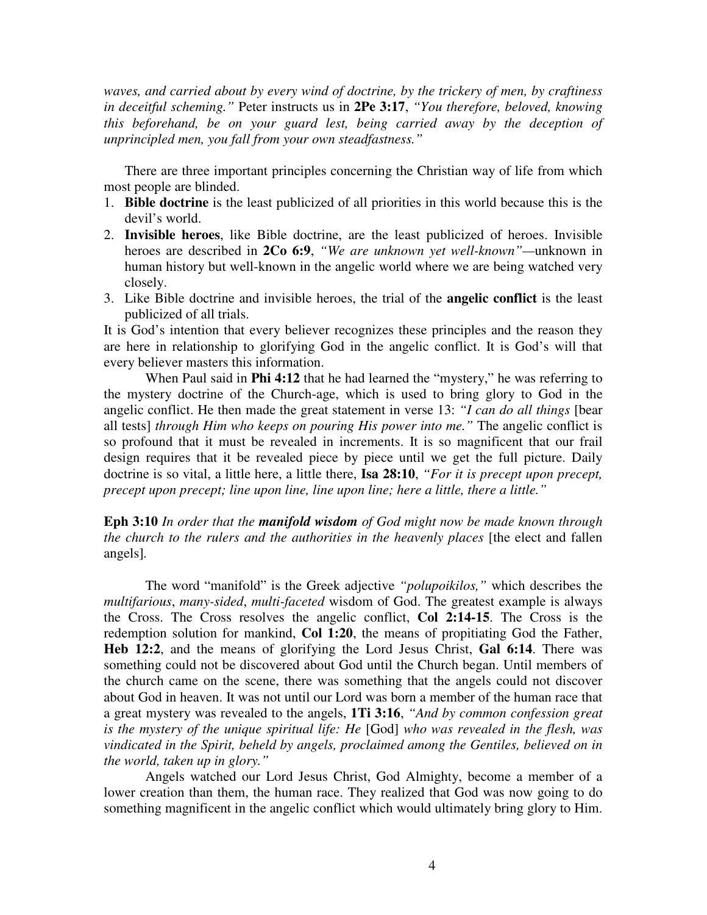*waves, and carried about by every wind of doctrine, by the trickery of men, by craftiness in deceitful scheming."* Peter instructs us in **2Pe 3:17**, *"You therefore, beloved, knowing this beforehand, be on your guard lest, being carried away by the deception of unprincipled men, you fall from your own steadfastness."*

There are three important principles concerning the Christian way of life from which most people are blinded.

- 1. **Bible doctrine** is the least publicized of all priorities in this world because this is the devil's world.
- 2. **Invisible heroes**, like Bible doctrine, are the least publicized of heroes. Invisible heroes are described in **2Co 6:9**, *"We are unknown yet well-known"—*unknown in human history but well-known in the angelic world where we are being watched very closely.
- 3. Like Bible doctrine and invisible heroes, the trial of the **angelic conflict** is the least publicized of all trials.

It is God's intention that every believer recognizes these principles and the reason they are here in relationship to glorifying God in the angelic conflict. It is God's will that every believer masters this information.

When Paul said in **Phi 4:12** that he had learned the "mystery," he was referring to the mystery doctrine of the Church-age, which is used to bring glory to God in the angelic conflict. He then made the great statement in verse 13: *"I can do all things* [bear all tests] *through Him who keeps on pouring His power into me."* The angelic conflict is so profound that it must be revealed in increments. It is so magnificent that our frail design requires that it be revealed piece by piece until we get the full picture. Daily doctrine is so vital, a little here, a little there, **Isa 28:10**, *"For it is precept upon precept, precept upon precept; line upon line, line upon line; here a little, there a little."*

**Eph 3:10** *In order that the manifold wisdom of God might now be made known through the church to the rulers and the authorities in the heavenly places* [the elect and fallen angels]*.*

The word "manifold" is the Greek adjective *"polupoikilos,"* which describes the *multifarious*, *many-sided*, *multi-faceted* wisdom of God. The greatest example is always the Cross. The Cross resolves the angelic conflict, **Col 2:14-15**. The Cross is the redemption solution for mankind, **Col 1:20**, the means of propitiating God the Father, **Heb 12:2**, and the means of glorifying the Lord Jesus Christ, **Gal 6:14**. There was something could not be discovered about God until the Church began. Until members of the church came on the scene, there was something that the angels could not discover about God in heaven. It was not until our Lord was born a member of the human race that a great mystery was revealed to the angels, **1Ti 3:16**, *"And by common confession great is the mystery of the unique spiritual life: He* [God] *who was revealed in the flesh, was vindicated in the Spirit, beheld by angels, proclaimed among the Gentiles, believed on in the world, taken up in glory."*

Angels watched our Lord Jesus Christ, God Almighty, become a member of a lower creation than them, the human race. They realized that God was now going to do something magnificent in the angelic conflict which would ultimately bring glory to Him.